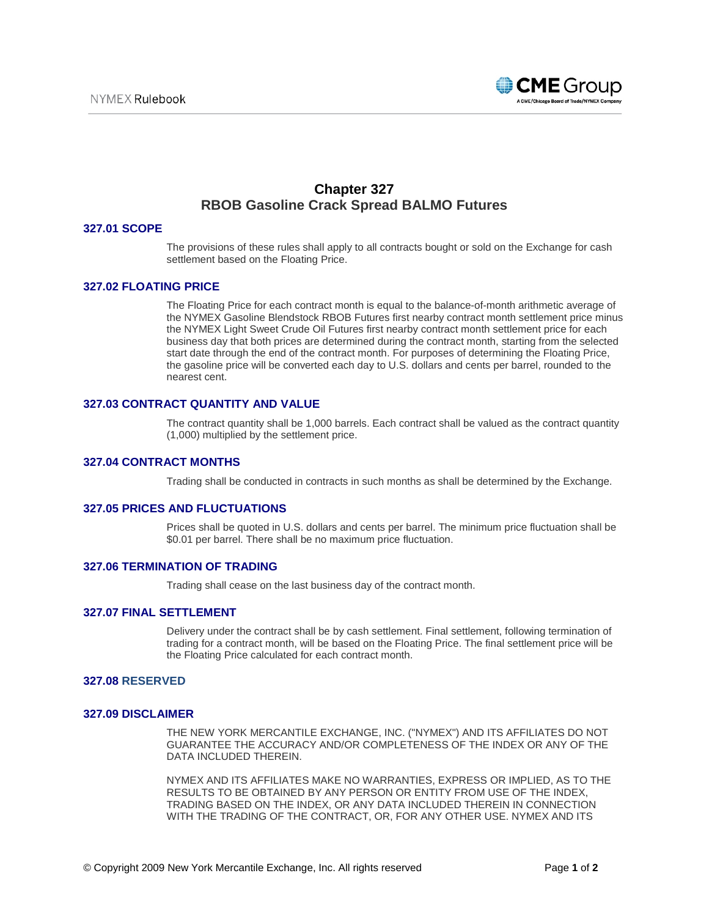

# **Chapter 327 RBOB Gasoline Crack Spread BALMO Futures**

## **327.01 SCOPE**

The provisions of these rules shall apply to all contracts bought or sold on the Exchange for cash settlement based on the Floating Price.

# **327.02 FLOATING PRICE**

The Floating Price for each contract month is equal to the balance-of-month arithmetic average of the NYMEX Gasoline Blendstock RBOB Futures first nearby contract month settlement price minus the NYMEX Light Sweet Crude Oil Futures first nearby contract month settlement price for each business day that both prices are determined during the contract month, starting from the selected start date through the end of the contract month. For purposes of determining the Floating Price, the gasoline price will be converted each day to U.S. dollars and cents per barrel, rounded to the nearest cent.

### **327.03 CONTRACT QUANTITY AND VALUE**

The contract quantity shall be 1,000 barrels. Each contract shall be valued as the contract quantity (1,000) multiplied by the settlement price.

### **327.04 CONTRACT MONTHS**

Trading shall be conducted in contracts in such months as shall be determined by the Exchange.

#### **327.05 PRICES AND FLUCTUATIONS**

Prices shall be quoted in U.S. dollars and cents per barrel. The minimum price fluctuation shall be \$0.01 per barrel. There shall be no maximum price fluctuation.

#### **327.06 TERMINATION OF TRADING**

Trading shall cease on the last business day of the contract month.

# **327.07 FINAL SETTLEMENT**

Delivery under the contract shall be by cash settlement. Final settlement, following termination of trading for a contract month, will be based on the Floating Price. The final settlement price will be the Floating Price calculated for each contract month.

### **327.08 RESERVED**

## **327.09 DISCLAIMER**

THE NEW YORK MERCANTILE EXCHANGE, INC. ("NYMEX") AND ITS AFFILIATES DO NOT GUARANTEE THE ACCURACY AND/OR COMPLETENESS OF THE INDEX OR ANY OF THE DATA INCLUDED THEREIN.

NYMEX AND ITS AFFILIATES MAKE NO WARRANTIES, EXPRESS OR IMPLIED, AS TO THE RESULTS TO BE OBTAINED BY ANY PERSON OR ENTITY FROM USE OF THE INDEX, TRADING BASED ON THE INDEX, OR ANY DATA INCLUDED THEREIN IN CONNECTION WITH THE TRADING OF THE CONTRACT, OR, FOR ANY OTHER USE. NYMEX AND ITS